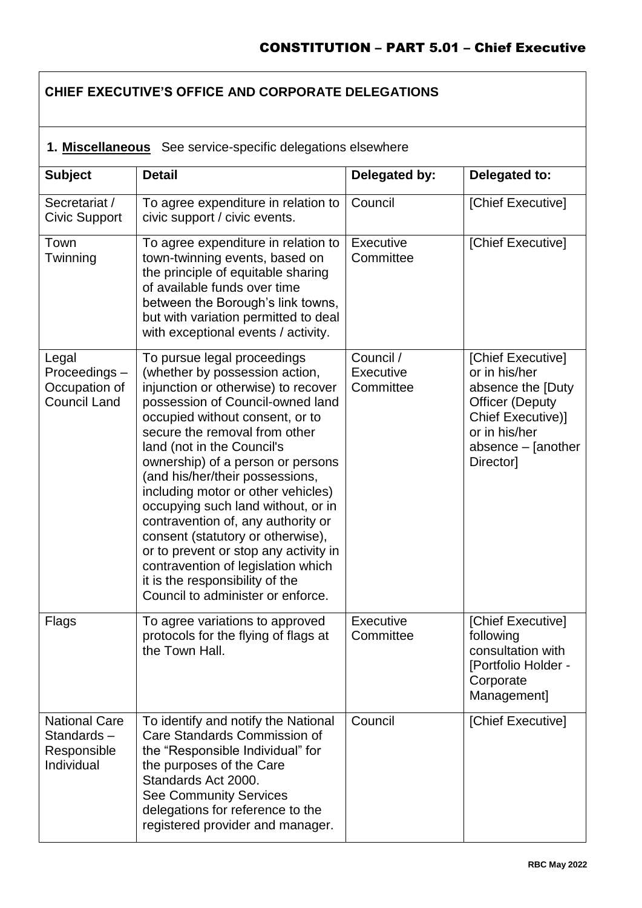# **CHIEF EXECUTIVE'S OFFICE AND CORPORATE DELEGATIONS**

#### **1. Miscellaneous**See service-specific delegations elsewhere

| <b>Subject</b>                                                  | <b>Detail</b>                                                                                                                                                                                                                                                                                                                                                                                                                                                                                                                                                                                                                    | Delegated by:                       | Delegated to:                                                                                                                                              |
|-----------------------------------------------------------------|----------------------------------------------------------------------------------------------------------------------------------------------------------------------------------------------------------------------------------------------------------------------------------------------------------------------------------------------------------------------------------------------------------------------------------------------------------------------------------------------------------------------------------------------------------------------------------------------------------------------------------|-------------------------------------|------------------------------------------------------------------------------------------------------------------------------------------------------------|
| Secretariat /<br><b>Civic Support</b>                           | To agree expenditure in relation to<br>civic support / civic events.                                                                                                                                                                                                                                                                                                                                                                                                                                                                                                                                                             | Council                             | [Chief Executive]                                                                                                                                          |
| Town<br>Twinning                                                | To agree expenditure in relation to<br>town-twinning events, based on<br>the principle of equitable sharing<br>of available funds over time<br>between the Borough's link towns,<br>but with variation permitted to deal<br>with exceptional events / activity.                                                                                                                                                                                                                                                                                                                                                                  | Executive<br>Committee              | [Chief Executive]                                                                                                                                          |
| Legal<br>Proceedings-<br>Occupation of<br><b>Council Land</b>   | To pursue legal proceedings<br>(whether by possession action,<br>injunction or otherwise) to recover<br>possession of Council-owned land<br>occupied without consent, or to<br>secure the removal from other<br>land (not in the Council's<br>ownership) of a person or persons<br>(and his/her/their possessions,<br>including motor or other vehicles)<br>occupying such land without, or in<br>contravention of, any authority or<br>consent (statutory or otherwise),<br>or to prevent or stop any activity in<br>contravention of legislation which<br>it is the responsibility of the<br>Council to administer or enforce. | Council /<br>Executive<br>Committee | [Chief Executive]<br>or in his/her<br>absence the [Duty<br><b>Officer (Deputy</b><br>Chief Executive)]<br>or in his/her<br>absence - [another<br>Director] |
| Flags                                                           | To agree variations to approved<br>protocols for the flying of flags at<br>the Town Hall.                                                                                                                                                                                                                                                                                                                                                                                                                                                                                                                                        | Executive<br>Committee              | [Chief Executive]<br>following<br>consultation with<br>[Portfolio Holder -<br>Corporate<br>Management]                                                     |
| <b>National Care</b><br>Standards-<br>Responsible<br>Individual | To identify and notify the National<br>Care Standards Commission of<br>the "Responsible Individual" for<br>the purposes of the Care<br>Standards Act 2000.<br><b>See Community Services</b><br>delegations for reference to the<br>registered provider and manager.                                                                                                                                                                                                                                                                                                                                                              | Council                             | [Chief Executive]                                                                                                                                          |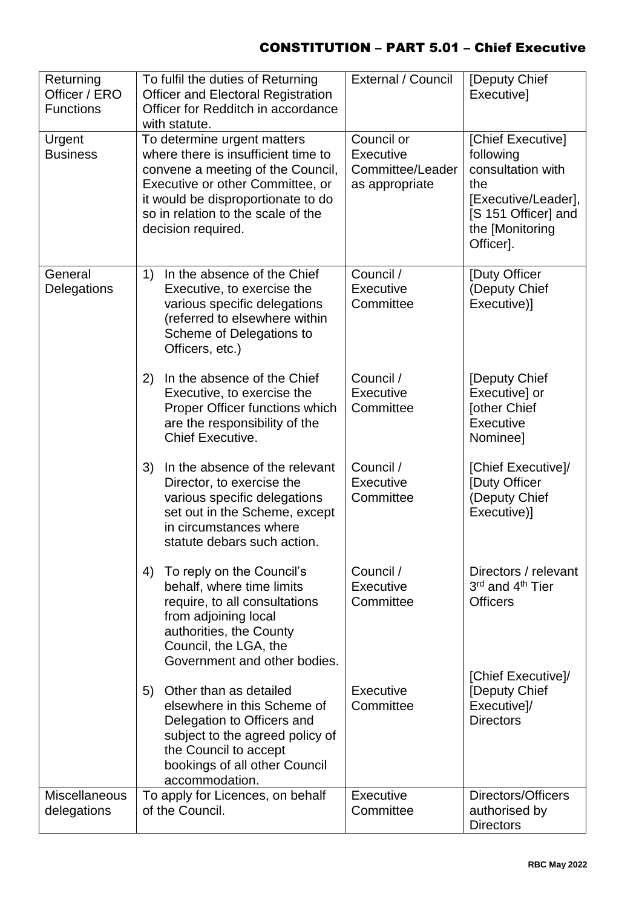| Returning<br>Officer / ERO<br><b>Functions</b> | To fulfil the duties of Returning<br><b>Officer and Electoral Registration</b><br>Officer for Redditch in accordance<br>with statute.                                                                                                         | External / Council                                                   | [Deputy Chief<br>Executive]                                                                                                              |
|------------------------------------------------|-----------------------------------------------------------------------------------------------------------------------------------------------------------------------------------------------------------------------------------------------|----------------------------------------------------------------------|------------------------------------------------------------------------------------------------------------------------------------------|
| Urgent<br><b>Business</b>                      | To determine urgent matters<br>where there is insufficient time to<br>convene a meeting of the Council,<br>Executive or other Committee, or<br>it would be disproportionate to do<br>so in relation to the scale of the<br>decision required. | Council or<br><b>Executive</b><br>Committee/Leader<br>as appropriate | [Chief Executive]<br>following<br>consultation with<br>the<br>[Executive/Leader],<br>[S 151 Officer] and<br>the [Monitoring<br>Officer]. |
| General<br>Delegations                         | 1)<br>In the absence of the Chief<br>Executive, to exercise the<br>various specific delegations<br>(referred to elsewhere within<br>Scheme of Delegations to<br>Officers, etc.)                                                               | Council /<br><b>Executive</b><br>Committee                           | [Duty Officer<br>(Deputy Chief<br>Executive)]                                                                                            |
|                                                | In the absence of the Chief<br>2)<br>Executive, to exercise the<br>Proper Officer functions which<br>are the responsibility of the<br><b>Chief Executive.</b>                                                                                 | Council /<br>Executive<br>Committee                                  | [Deputy Chief<br>Executive] or<br><b>[other Chief</b><br><b>Executive</b><br>Nominee]                                                    |
|                                                | In the absence of the relevant<br>3)<br>Director, to exercise the<br>various specific delegations<br>set out in the Scheme, except<br>in circumstances where<br>statute debars such action.                                                   | Council /<br>Executive<br>Committee                                  | [Chief Executive]/<br>[Duty Officer<br>(Deputy Chief<br>Executive)]                                                                      |
|                                                | To reply on the Council's<br>4)<br>behalf, where time limits<br>require, to all consultations<br>from adjoining local<br>authorities, the County<br>Council, the LGA, the<br>Government and other bodies.                                     | Council /<br><b>Executive</b><br>Committee                           | Directors / relevant<br>3rd and 4th Tier<br><b>Officers</b>                                                                              |
|                                                | Other than as detailed<br>5)<br>elsewhere in this Scheme of<br>Delegation to Officers and<br>subject to the agreed policy of<br>the Council to accept<br>bookings of all other Council<br>accommodation.                                      | Executive<br>Committee                                               | [Chief Executive]/<br>[Deputy Chief<br>Executive]/<br><b>Directors</b>                                                                   |
| <b>Miscellaneous</b><br>delegations            | To apply for Licences, on behalf<br>of the Council.                                                                                                                                                                                           | Executive<br>Committee                                               | Directors/Officers<br>authorised by<br><b>Directors</b>                                                                                  |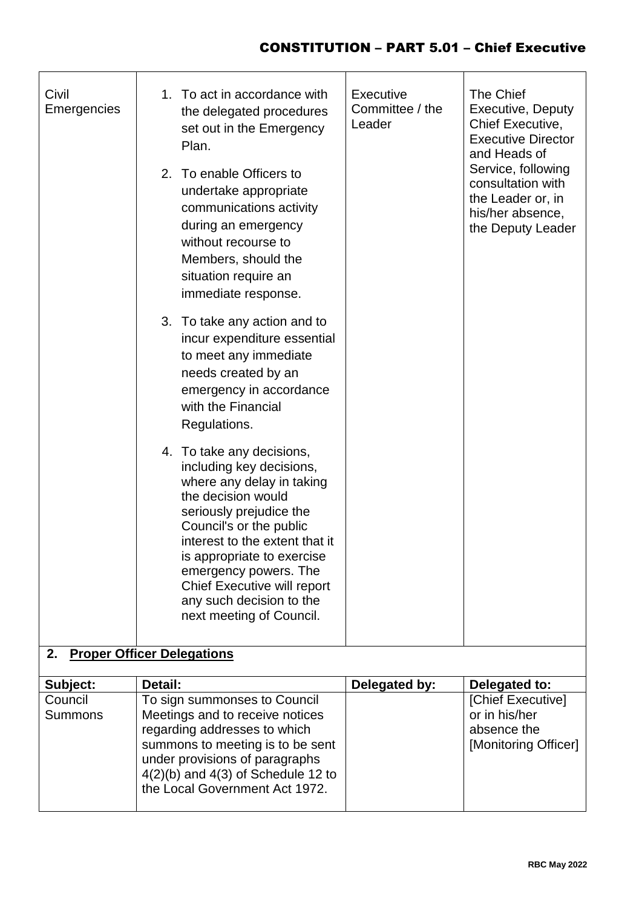| Civil<br>Emergencies      | To act in accordance with<br>1.<br>the delegated procedures<br>set out in the Emergency<br>Plan.<br>2. To enable Officers to<br>undertake appropriate<br>communications activity<br>during an emergency<br>without recourse to<br>Members, should the<br>situation require an<br>immediate response.<br>3. To take any action and to<br>incur expenditure essential<br>to meet any immediate<br>needs created by an<br>emergency in accordance<br>with the Financial<br>Regulations.<br>4. To take any decisions,<br>including key decisions,<br>where any delay in taking<br>the decision would<br>seriously prejudice the<br>Council's or the public<br>interest to the extent that it<br>is appropriate to exercise<br>emergency powers. The<br>Chief Executive will report<br>any such decision to the<br>next meeting of Council. | <b>Executive</b><br>Committee / the<br>Leader | The Chief<br><b>Executive, Deputy</b><br>Chief Executive,<br><b>Executive Director</b><br>and Heads of<br>Service, following<br>consultation with<br>the Leader or, in<br>his/her absence,<br>the Deputy Leader |
|---------------------------|----------------------------------------------------------------------------------------------------------------------------------------------------------------------------------------------------------------------------------------------------------------------------------------------------------------------------------------------------------------------------------------------------------------------------------------------------------------------------------------------------------------------------------------------------------------------------------------------------------------------------------------------------------------------------------------------------------------------------------------------------------------------------------------------------------------------------------------|-----------------------------------------------|-----------------------------------------------------------------------------------------------------------------------------------------------------------------------------------------------------------------|
| 2.                        | <b>Proper Officer Delegations</b>                                                                                                                                                                                                                                                                                                                                                                                                                                                                                                                                                                                                                                                                                                                                                                                                      |                                               |                                                                                                                                                                                                                 |
| Subject:                  | Detail:                                                                                                                                                                                                                                                                                                                                                                                                                                                                                                                                                                                                                                                                                                                                                                                                                                | Delegated by:                                 | Delegated to:                                                                                                                                                                                                   |
| Council<br><b>Summons</b> | To sign summonses to Council<br>Meetings and to receive notices<br>regarding addresses to which<br>summons to meeting is to be sent<br>under provisions of paragraphs<br>$4(2)(b)$ and $4(3)$ of Schedule 12 to<br>the Local Government Act 1972.                                                                                                                                                                                                                                                                                                                                                                                                                                                                                                                                                                                      |                                               | [Chief Executive]<br>or in his/her<br>absence the<br>[Monitoring Officer]                                                                                                                                       |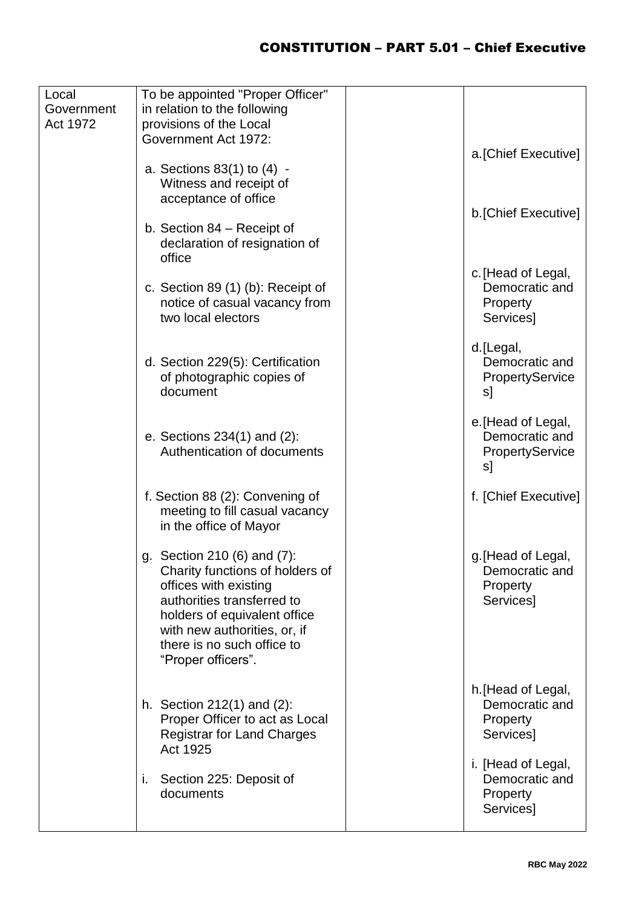| Local<br>Government<br>Act 1972 | To be appointed "Proper Officer"<br>in relation to the following<br>provisions of the Local<br>Government Act 1972:<br>a. Sections 83(1) to (4) -<br>Witness and receipt of<br>acceptance of office                                       | a. [Chief Executive]                                                 |
|---------------------------------|-------------------------------------------------------------------------------------------------------------------------------------------------------------------------------------------------------------------------------------------|----------------------------------------------------------------------|
|                                 | b. Section 84 – Receipt of<br>declaration of resignation of<br>office                                                                                                                                                                     | b. [Chief Executive]<br>c. [Head of Legal,                           |
|                                 | c. Section 89 $(1)$ $(b)$ : Receipt of<br>notice of casual vacancy from<br>two local electors                                                                                                                                             | Democratic and<br>Property<br>Services]                              |
|                                 | d. Section 229(5): Certification<br>of photographic copies of<br>document                                                                                                                                                                 | d.[Legal,<br>Democratic and<br>PropertyService<br>s]                 |
|                                 | e. Sections $234(1)$ and $(2)$ :<br>Authentication of documents                                                                                                                                                                           | e. [Head of Legal,<br>Democratic and<br><b>PropertyService</b><br>s] |
|                                 | f. Section 88 (2): Convening of<br>meeting to fill casual vacancy<br>in the office of Mayor                                                                                                                                               | f. [Chief Executive]                                                 |
|                                 | g. Section 210 (6) and (7):<br>Charity functions of holders of<br>offices with existing<br>authorities transferred to<br>holders of equivalent office<br>with new authorities, or, if<br>there is no such office to<br>"Proper officers". | g. [Head of Legal,<br>Democratic and<br>Property<br>Services]        |
|                                 | h. Section 212(1) and (2):<br>Proper Officer to act as Local<br><b>Registrar for Land Charges</b><br>Act 1925                                                                                                                             | h. [Head of Legal,<br>Democratic and<br>Property<br>Services]        |
|                                 | i.<br>Section 225: Deposit of<br>documents                                                                                                                                                                                                | i. [Head of Legal,<br>Democratic and<br><b>Property</b><br>Services] |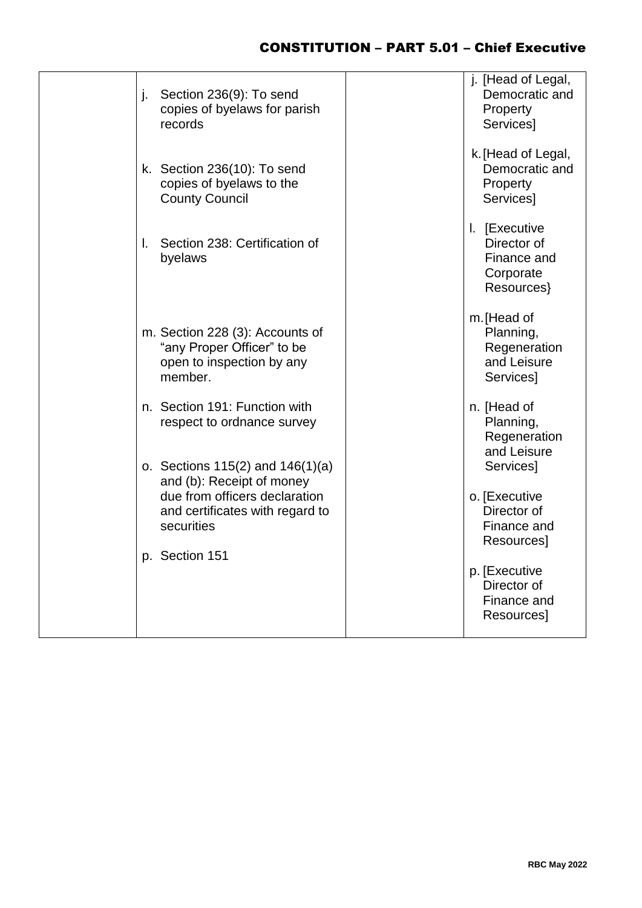| Section 236(9): To send<br>j.<br>copies of byelaws for parish<br>records                                                                            | j. [Head of Legal,<br>Democratic and<br>Property<br>Services]          |
|-----------------------------------------------------------------------------------------------------------------------------------------------------|------------------------------------------------------------------------|
| k. Section 236(10): To send<br>copies of byelaws to the<br><b>County Council</b>                                                                    | k. [Head of Legal,<br>Democratic and<br>Property<br><b>Services</b> ]  |
| Section 238: Certification of<br>I.<br>byelaws                                                                                                      | I. [Executive<br>Director of<br>Finance and<br>Corporate<br>Resources} |
| m. Section 228 (3): Accounts of<br>"any Proper Officer" to be<br>open to inspection by any<br>member.                                               | m. [Head of<br>Planning,<br>Regeneration<br>and Leisure<br>Services]   |
| n. Section 191: Function with<br>respect to ordnance survey                                                                                         | n. [Head of<br>Planning,<br>Regeneration<br>and Leisure                |
| o. Sections $115(2)$ and $146(1)(a)$<br>and (b): Receipt of money<br>due from officers declaration<br>and certificates with regard to<br>securities | Services]<br>o. [Executive<br>Director of<br>Finance and<br>Resources] |
| p. Section 151                                                                                                                                      | p. [Executive<br>Director of<br>Finance and<br>Resources]              |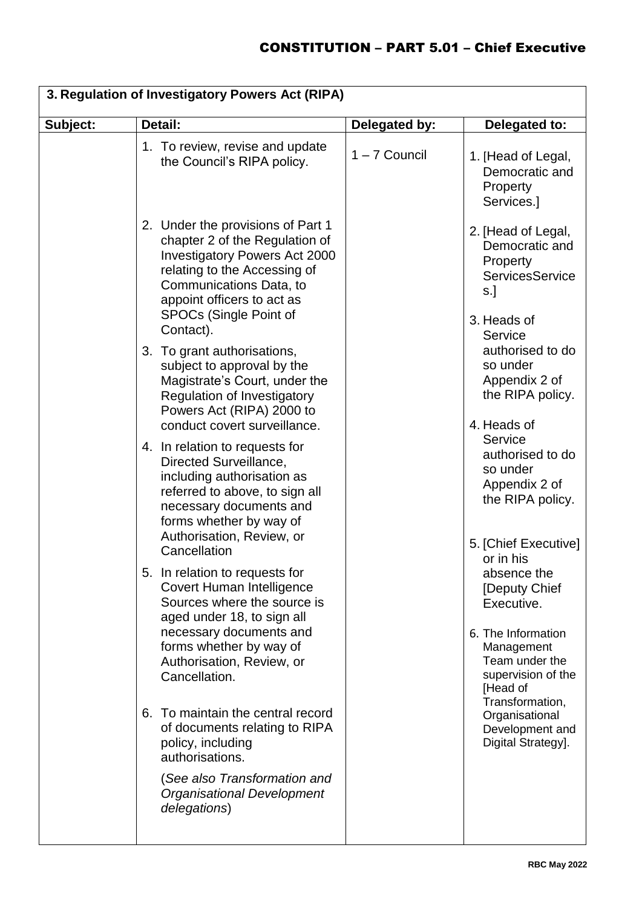|          | 3. Regulation of Investigatory Powers Act (RIPA)                                                                                                                                                                                                   |                 |                                                                                                                                    |  |
|----------|----------------------------------------------------------------------------------------------------------------------------------------------------------------------------------------------------------------------------------------------------|-----------------|------------------------------------------------------------------------------------------------------------------------------------|--|
| Subject: | Detail:                                                                                                                                                                                                                                            | Delegated by:   | Delegated to:                                                                                                                      |  |
|          | 1. To review, revise and update<br>the Council's RIPA policy.                                                                                                                                                                                      | $1 - 7$ Council | 1. [Head of Legal,<br>Democratic and<br>Property<br>Services.]                                                                     |  |
|          | 2. Under the provisions of Part 1<br>chapter 2 of the Regulation of<br><b>Investigatory Powers Act 2000</b><br>relating to the Accessing of<br>Communications Data, to<br>appoint officers to act as<br><b>SPOCs (Single Point of</b><br>Contact). |                 | 2. [Head of Legal,<br>Democratic and<br>Property<br>ServicesService<br>$s.$ ]<br>3. Heads of                                       |  |
|          | 3. To grant authorisations,<br>subject to approval by the<br>Magistrate's Court, under the<br>Regulation of Investigatory<br>Powers Act (RIPA) 2000 to<br>conduct covert surveillance.                                                             |                 | Service<br>authorised to do<br>so under<br>Appendix 2 of<br>the RIPA policy.<br>4. Heads of                                        |  |
|          | 4. In relation to requests for<br>Directed Surveillance,<br>including authorisation as<br>referred to above, to sign all<br>necessary documents and<br>forms whether by way of<br>Authorisation, Review, or<br>Cancellation                        |                 | Service<br>authorised to do<br>so under<br>Appendix 2 of<br>the RIPA policy.<br>5. [Chief Executive]<br>or in his                  |  |
|          | 5. In relation to requests for<br>Covert Human Intelligence<br>Sources where the source is<br>aged under 18, to sign all<br>necessary documents and<br>forms whether by way of<br>Authorisation, Review, or<br>Cancellation.                       |                 | absence the<br>[Deputy Chief<br>Executive.<br>6. The Information<br>Management<br>Team under the<br>supervision of the<br>[Head of |  |
|          | 6. To maintain the central record<br>of documents relating to RIPA<br>policy, including<br>authorisations.<br>(See also Transformation and<br><b>Organisational Development</b><br>delegations)                                                    |                 | Transformation,<br>Organisational<br>Development and<br>Digital Strategy].                                                         |  |